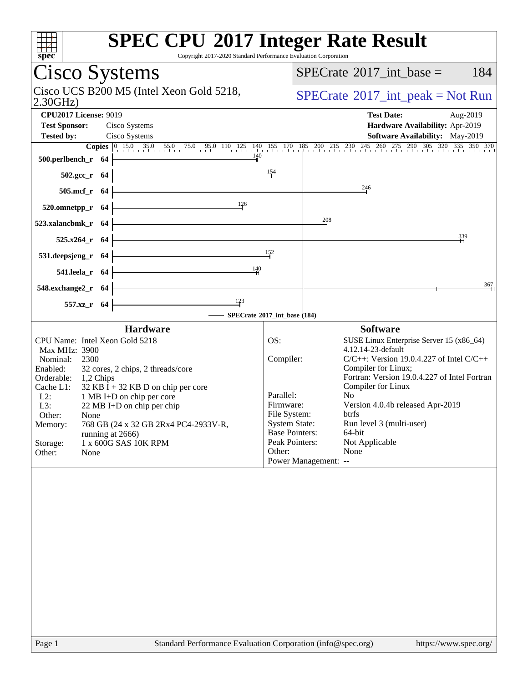| <b>SPEC CPU®2017 Integer Rate Result</b><br>spec<br>Copyright 2017-2020 Standard Performance Evaluation Corporation |                                                |                                                                                                                                                                                                |
|---------------------------------------------------------------------------------------------------------------------|------------------------------------------------|------------------------------------------------------------------------------------------------------------------------------------------------------------------------------------------------|
| Cisco Systems                                                                                                       | 184<br>$SPECrate^{\circledast}2017$ int base = |                                                                                                                                                                                                |
| Cisco UCS B200 M5 (Intel Xeon Gold 5218,<br>2.30GHz                                                                 |                                                | $SPECrate^{\circledast}2017\_int\_peak = Not Run$                                                                                                                                              |
| <b>CPU2017 License: 9019</b>                                                                                        |                                                | <b>Test Date:</b><br>Aug-2019                                                                                                                                                                  |
| <b>Test Sponsor:</b><br>Cisco Systems                                                                               |                                                | Hardware Availability: Apr-2019                                                                                                                                                                |
| <b>Tested by:</b><br>Cisco Systems                                                                                  |                                                | Software Availability: May-2019                                                                                                                                                                |
| 140<br>500.perlbench_r 64                                                                                           |                                                | <b>Copies</b> $\begin{bmatrix} 0 & 15.0 & 35.0 & 55.0 & 75.0 & 95.0 & 110 & 125 & 140 & 155 & 170 & 185 & 200 & 215 & 230 & 245 & 260 & 275 & 290 & 305 & 320 & 335 & 350 & 370 \end{bmatrix}$ |
| $502.\text{gcc}_r$ 64                                                                                               | 154                                            |                                                                                                                                                                                                |
| 505.mcf_r 64                                                                                                        |                                                | 246                                                                                                                                                                                            |
| 126<br>520.omnetpp_r 64                                                                                             |                                                |                                                                                                                                                                                                |
| 523.xalancbmk_r 64                                                                                                  |                                                | 208                                                                                                                                                                                            |
| 525.x264_r 64                                                                                                       |                                                | 339                                                                                                                                                                                            |
| 531.deepsjeng_r 64                                                                                                  | 152                                            |                                                                                                                                                                                                |
| $\frac{140}{1}$<br>541.leela_r 64                                                                                   |                                                |                                                                                                                                                                                                |
| 548.exchange2_r 64                                                                                                  |                                                | 367                                                                                                                                                                                            |
| $\frac{123}{ }$<br>557.xz_r 64                                                                                      |                                                |                                                                                                                                                                                                |
| SPECrate®2017_int_base (184)                                                                                        |                                                |                                                                                                                                                                                                |
| <b>Hardware</b>                                                                                                     |                                                | <b>Software</b>                                                                                                                                                                                |
| CPU Name: Intel Xeon Gold 5218<br>Max MHz: 3900                                                                     | OS:                                            | SUSE Linux Enterprise Server 15 (x86_64)<br>4.12.14-23-default                                                                                                                                 |
| Nominal:<br>2300                                                                                                    | Compiler:                                      | $C/C++$ : Version 19.0.4.227 of Intel $C/C++$                                                                                                                                                  |
| Enabled:<br>32 cores, 2 chips, 2 threads/core<br>Orderable:<br>1,2 Chips                                            |                                                | Compiler for Linux;<br>Fortran: Version 19.0.4.227 of Intel Fortran                                                                                                                            |
| $32$ KB I + 32 KB D on chip per core<br>Cache L1:                                                                   |                                                | Compiler for Linux                                                                                                                                                                             |
| $L2$ :<br>1 MB I+D on chip per core<br>L3:<br>22 MB I+D on chip per chip                                            | Parallel:<br>Firmware:                         | No.<br>Version 4.0.4b released Apr-2019                                                                                                                                                        |
| Other:<br>None                                                                                                      | File System:                                   | btrfs                                                                                                                                                                                          |
| 768 GB (24 x 32 GB 2Rx4 PC4-2933V-R,<br>Memory:                                                                     | <b>System State:</b>                           | Run level 3 (multi-user)                                                                                                                                                                       |
| running at 2666)<br>1 x 600G SAS 10K RPM<br>Storage:                                                                |                                                | <b>Base Pointers:</b><br>64-bit<br>Not Applicable<br>Peak Pointers:                                                                                                                            |
| Other:<br>None                                                                                                      | Other:                                         | None                                                                                                                                                                                           |
|                                                                                                                     |                                                | Power Management: --                                                                                                                                                                           |
|                                                                                                                     |                                                |                                                                                                                                                                                                |
| Page 1<br>Standard Performance Evaluation Corporation (info@spec.org)                                               |                                                | https://www.spec.org/                                                                                                                                                                          |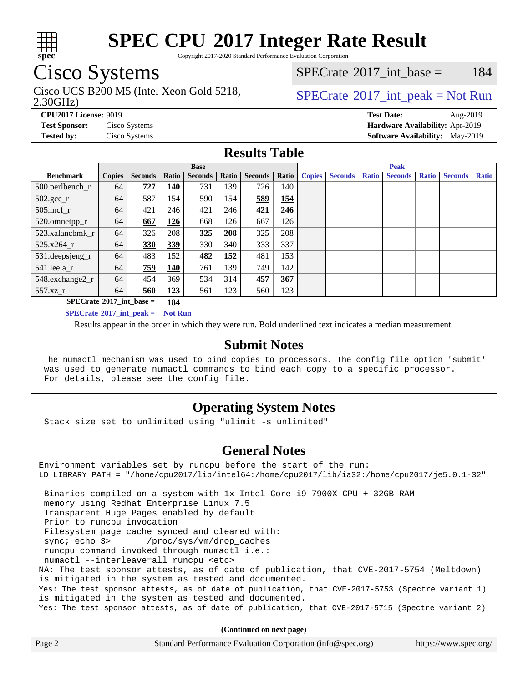

Copyright 2017-2020 Standard Performance Evaluation Corporation

## Cisco Systems

2.30GHz) Cisco UCS B200 M5 (Intel Xeon Gold 5218,  $SPECTU$  [SPECrate](http://www.spec.org/auto/cpu2017/Docs/result-fields.html#SPECrate2017intpeak) 2017 int peak = Not Run

 $SPECTate$ <sup>®</sup>2017 int base = 184

**[CPU2017 License:](http://www.spec.org/auto/cpu2017/Docs/result-fields.html#CPU2017License)** 9019 **[Test Date:](http://www.spec.org/auto/cpu2017/Docs/result-fields.html#TestDate)** Aug-2019 **[Test Sponsor:](http://www.spec.org/auto/cpu2017/Docs/result-fields.html#TestSponsor)** Cisco Systems **[Hardware Availability:](http://www.spec.org/auto/cpu2017/Docs/result-fields.html#HardwareAvailability)** Apr-2019 **[Tested by:](http://www.spec.org/auto/cpu2017/Docs/result-fields.html#Testedby)** Cisco Systems **[Software Availability:](http://www.spec.org/auto/cpu2017/Docs/result-fields.html#SoftwareAvailability)** May-2019

#### **[Results Table](http://www.spec.org/auto/cpu2017/Docs/result-fields.html#ResultsTable)**

|                                   |               |                |                | <b>Base</b>    |       |                |       | <b>Peak</b>   |                |              |                |              |                |              |
|-----------------------------------|---------------|----------------|----------------|----------------|-------|----------------|-------|---------------|----------------|--------------|----------------|--------------|----------------|--------------|
| <b>Benchmark</b>                  | <b>Copies</b> | <b>Seconds</b> | Ratio          | <b>Seconds</b> | Ratio | <b>Seconds</b> | Ratio | <b>Copies</b> | <b>Seconds</b> | <b>Ratio</b> | <b>Seconds</b> | <b>Ratio</b> | <b>Seconds</b> | <b>Ratio</b> |
| 500.perlbench_r                   | 64            | 727            | 140            | 731            | 139   | 726            | 140   |               |                |              |                |              |                |              |
| $502.\text{gcc}_r$                | 64            | 587            | 154            | 590            | 154   | 589            | 154   |               |                |              |                |              |                |              |
| $505$ .mcf r                      | 64            | 421            | 246            | 421            | 246   | 421            | 246   |               |                |              |                |              |                |              |
| 520.omnetpp_r                     | 64            | 667            | 126            | 668            | 126   | 667            | 126   |               |                |              |                |              |                |              |
| 523.xalancbmk_r                   | 64            | 326            | 208            | 325            | 208   | 325            | 208   |               |                |              |                |              |                |              |
| 525.x264 r                        | 64            | 330            | 339            | 330            | 340   | 333            | 337   |               |                |              |                |              |                |              |
| 531.deepsjeng_r                   | 64            | 483            | 152            | 482            | 152   | 481            | 153   |               |                |              |                |              |                |              |
| 541.leela r                       | 64            | 759            | 140            | 761            | 139   | 749            | 142   |               |                |              |                |              |                |              |
| 548.exchange2_r                   | 64            | 454            | 369            | 534            | 314   | 457            | 367   |               |                |              |                |              |                |              |
| 557.xz r                          | 64            | 560            | 123            | 561            | 123   | 560            | 123   |               |                |              |                |              |                |              |
| $SPECrate^{\circ}2017$ int base = |               |                | 184            |                |       |                |       |               |                |              |                |              |                |              |
| $SPECrate^{\circ}2017$ int peak = |               |                | <b>Not Run</b> |                |       |                |       |               |                |              |                |              |                |              |

Results appear in the [order in which they were run](http://www.spec.org/auto/cpu2017/Docs/result-fields.html#RunOrder). Bold underlined text [indicates a median measurement](http://www.spec.org/auto/cpu2017/Docs/result-fields.html#Median).

#### **[Submit Notes](http://www.spec.org/auto/cpu2017/Docs/result-fields.html#SubmitNotes)**

 The numactl mechanism was used to bind copies to processors. The config file option 'submit' was used to generate numactl commands to bind each copy to a specific processor. For details, please see the config file.

### **[Operating System Notes](http://www.spec.org/auto/cpu2017/Docs/result-fields.html#OperatingSystemNotes)**

Stack size set to unlimited using "ulimit -s unlimited"

#### **[General Notes](http://www.spec.org/auto/cpu2017/Docs/result-fields.html#GeneralNotes)**

Environment variables set by runcpu before the start of the run: LD\_LIBRARY\_PATH = "/home/cpu2017/lib/intel64:/home/cpu2017/lib/ia32:/home/cpu2017/je5.0.1-32" Binaries compiled on a system with 1x Intel Core i9-7900X CPU + 32GB RAM memory using Redhat Enterprise Linux 7.5 Transparent Huge Pages enabled by default Prior to runcpu invocation Filesystem page cache synced and cleared with: sync; echo 3> /proc/sys/vm/drop\_caches runcpu command invoked through numactl i.e.: numactl --interleave=all runcpu <etc> NA: The test sponsor attests, as of date of publication, that CVE-2017-5754 (Meltdown) is mitigated in the system as tested and documented. Yes: The test sponsor attests, as of date of publication, that CVE-2017-5753 (Spectre variant 1) is mitigated in the system as tested and documented. Yes: The test sponsor attests, as of date of publication, that CVE-2017-5715 (Spectre variant 2)

**(Continued on next page)**

| Page 2 | Standard Performance Evaluation Corporation (info@spec.org) | https://www.spec.org/ |
|--------|-------------------------------------------------------------|-----------------------|
|--------|-------------------------------------------------------------|-----------------------|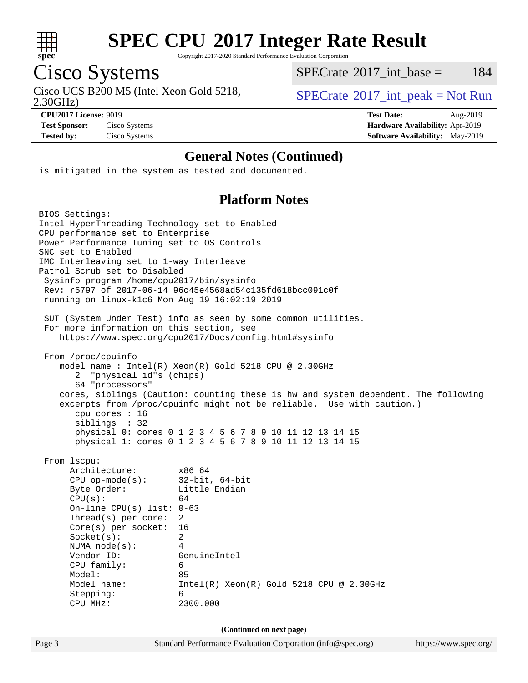

Copyright 2017-2020 Standard Performance Evaluation Corporation

Cisco Systems<br>Cisco UCS B200 M5 (Intel Xeon Gold 5218,

 $SPECTate@2017_int\_base = 184$ 

2.30GHz)

 $SPECTate$ <sup>®</sup>[2017\\_int\\_peak = N](http://www.spec.org/auto/cpu2017/Docs/result-fields.html#SPECrate2017intpeak)ot Run

**[CPU2017 License:](http://www.spec.org/auto/cpu2017/Docs/result-fields.html#CPU2017License)** 9019 **[Test Date:](http://www.spec.org/auto/cpu2017/Docs/result-fields.html#TestDate)** Aug-2019 **[Test Sponsor:](http://www.spec.org/auto/cpu2017/Docs/result-fields.html#TestSponsor)** Cisco Systems **[Hardware Availability:](http://www.spec.org/auto/cpu2017/Docs/result-fields.html#HardwareAvailability)** Apr-2019 **[Tested by:](http://www.spec.org/auto/cpu2017/Docs/result-fields.html#Testedby)** Cisco Systems **[Software Availability:](http://www.spec.org/auto/cpu2017/Docs/result-fields.html#SoftwareAvailability)** May-2019

#### **[General Notes \(Continued\)](http://www.spec.org/auto/cpu2017/Docs/result-fields.html#GeneralNotes)**

is mitigated in the system as tested and documented.

#### **[Platform Notes](http://www.spec.org/auto/cpu2017/Docs/result-fields.html#PlatformNotes)**

| BIOS Settings:<br>Intel HyperThreading Technology set to Enabled<br>CPU performance set to Enterprise<br>Power Performance Tuning set to OS Controls<br>SNC set to Enabled<br>IMC Interleaving set to 1-way Interleave<br>Patrol Scrub set to Disabled<br>Sysinfo program /home/cpu2017/bin/sysinfo<br>running on linux-k1c6 Mon Aug 19 16:02:19 2019<br>For more information on this section, see<br>From /proc/cpuinfo<br>"physical id"s (chips)<br>2<br>64 "processors" | Rev: r5797 of 2017-06-14 96c45e4568ad54c135fd618bcc091c0f<br>SUT (System Under Test) info as seen by some common utilities.<br>https://www.spec.org/cpu2017/Docs/config.html#sysinfo<br>model name : Intel(R) Xeon(R) Gold 5218 CPU @ 2.30GHz<br>cores, siblings (Caution: counting these is hw and system dependent. The following<br>excerpts from /proc/cpuinfo might not be reliable. Use with caution.) |                       |
|----------------------------------------------------------------------------------------------------------------------------------------------------------------------------------------------------------------------------------------------------------------------------------------------------------------------------------------------------------------------------------------------------------------------------------------------------------------------------|--------------------------------------------------------------------------------------------------------------------------------------------------------------------------------------------------------------------------------------------------------------------------------------------------------------------------------------------------------------------------------------------------------------|-----------------------|
| cpu cores : 16                                                                                                                                                                                                                                                                                                                                                                                                                                                             |                                                                                                                                                                                                                                                                                                                                                                                                              |                       |
| siblings : 32                                                                                                                                                                                                                                                                                                                                                                                                                                                              | physical 0: cores 0 1 2 3 4 5 6 7 8 9 10 11 12 13 14 15<br>physical 1: cores 0 1 2 3 4 5 6 7 8 9 10 11 12 13 14 15                                                                                                                                                                                                                                                                                           |                       |
| From 1scpu:<br>Architecture:<br>$CPU$ op-mode(s):<br>Byte Order:<br>CPU(s):<br>On-line CPU(s) list: $0-63$<br>Thread(s) per core:<br>$Core(s)$ per socket:<br>Socket(s):<br>NUMA $node(s):$<br>Vendor ID:<br>CPU family:<br>Model:<br>Model name:<br>Stepping:<br>CPU MHz:                                                                                                                                                                                                 | x86_64<br>$32$ -bit, $64$ -bit<br>Little Endian<br>64<br>2<br>16<br>2<br>$\overline{4}$<br>GenuineIntel<br>6<br>85<br>$Intel(R) Xeon(R) Gold 5218 CPU @ 2.30GHz$<br>6<br>2300.000<br>(Continued on next page)                                                                                                                                                                                                |                       |
| Page 3                                                                                                                                                                                                                                                                                                                                                                                                                                                                     | Standard Performance Evaluation Corporation (info@spec.org)                                                                                                                                                                                                                                                                                                                                                  | https://www.spec.org/ |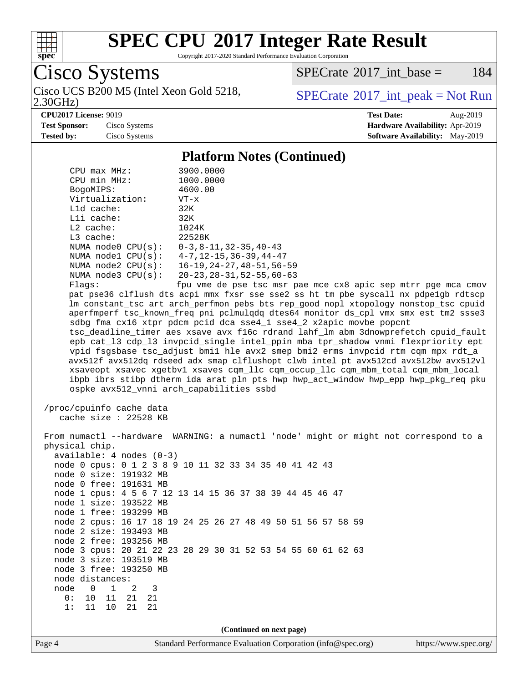

Copyright 2017-2020 Standard Performance Evaluation Corporation

Cisco Systems

2.30GHz) Cisco UCS B200 M5 (Intel Xeon Gold 5218,  $SPECTB2017$  int peak = Not Run

[SPECrate](http://www.spec.org/auto/cpu2017/Docs/result-fields.html#SPECrate2017intbase)<sup>®</sup>2017 int base = 184

**[Tested by:](http://www.spec.org/auto/cpu2017/Docs/result-fields.html#Testedby)** Cisco Systems **[Software Availability:](http://www.spec.org/auto/cpu2017/Docs/result-fields.html#SoftwareAvailability)** May-2019

**[CPU2017 License:](http://www.spec.org/auto/cpu2017/Docs/result-fields.html#CPU2017License)** 9019 **[Test Date:](http://www.spec.org/auto/cpu2017/Docs/result-fields.html#TestDate)** Aug-2019 **[Test Sponsor:](http://www.spec.org/auto/cpu2017/Docs/result-fields.html#TestSponsor)** Cisco Systems **[Hardware Availability:](http://www.spec.org/auto/cpu2017/Docs/result-fields.html#HardwareAvailability)** Apr-2019

#### **[Platform Notes \(Continued\)](http://www.spec.org/auto/cpu2017/Docs/result-fields.html#PlatformNotes)**

| $CPIJ$ max $MHz$ :                        | 3900.0000                                     |
|-------------------------------------------|-----------------------------------------------|
| CPU min MHz:                              | 1000.0000                                     |
| BogoMIPS:                                 | 4600.00                                       |
| Virtualization:                           | $VT - x$                                      |
| $L1d$ cache:                              | 32K                                           |
| $L1i$ cache:                              | 32K                                           |
| $L2$ cache:                               | 1024K                                         |
| $L3$ cache:                               | 22528K                                        |
| NUMA $node0$ $CPU(s)$ :                   | $0-3, 8-11, 32-35, 40-43$                     |
| NUMA $node1$ $CPU(s)$ :                   | $4 - 7$ , $12 - 15$ , $36 - 39$ , $44 - 47$   |
| NUMA $node2$ $CPU(s)$ :                   | $16 - 19, 24 - 27, 48 - 51, 56 - 59$          |
| NUMA $node3$ $CPU(s)$ :                   | $20 - 23$ , $28 - 31$ , $52 - 55$ , $60 - 63$ |
| $\Box$ $\Box$ $\Box$ $\Box$ $\Box$ $\Box$ | £  Ja  Las                                    |

Flags: fpu vme de pse tsc msr pae mce cx8 apic sep mtrr pge mca cmov pat pse36 clflush dts acpi mmx fxsr sse sse2 ss ht tm pbe syscall nx pdpe1gb rdtscp lm constant\_tsc art arch\_perfmon pebs bts rep\_good nopl xtopology nonstop\_tsc cpuid aperfmperf tsc\_known\_freq pni pclmulqdq dtes64 monitor ds\_cpl vmx smx est tm2 ssse3 sdbg fma cx16 xtpr pdcm pcid dca sse4\_1 sse4\_2 x2apic movbe popcnt tsc\_deadline\_timer aes xsave avx f16c rdrand lahf\_lm abm 3dnowprefetch cpuid\_fault epb cat\_l3 cdp\_l3 invpcid\_single intel\_ppin mba tpr\_shadow vnmi flexpriority ept vpid fsgsbase tsc\_adjust bmi1 hle avx2 smep bmi2 erms invpcid rtm cqm mpx rdt\_a avx512f avx512dq rdseed adx smap clflushopt clwb intel\_pt avx512cd avx512bw avx512vl xsaveopt xsavec xgetbv1 xsaves cqm\_llc cqm\_occup\_llc cqm\_mbm\_total cqm\_mbm\_local ibpb ibrs stibp dtherm ida arat pln pts hwp hwp\_act\_window hwp\_epp hwp\_pkg\_req pku ospke avx512\_vnni arch\_capabilities ssbd

 /proc/cpuinfo cache data cache size : 22528 KB

 From numactl --hardware WARNING: a numactl 'node' might or might not correspond to a physical chip. available: 4 nodes (0-3) node 0 cpus: 0 1 2 3 8 9 10 11 32 33 34 35 40 41 42 43 node 0 size: 191932 MB node 0 free: 191631 MB node 1 cpus: 4 5 6 7 12 13 14 15 36 37 38 39 44 45 46 47 node 1 size: 193522 MB node 1 free: 193299 MB node 2 cpus: 16 17 18 19 24 25 26 27 48 49 50 51 56 57 58 59 node 2 size: 193493 MB node 2 free: 193256 MB node 3 cpus: 20 21 22 23 28 29 30 31 52 53 54 55 60 61 62 63 node 3 size: 193519 MB node 3 free: 193250 MB node distances: node 0 1 2 3 0: 10 11 21 21 1: 11 10 21 21 **(Continued on next page)**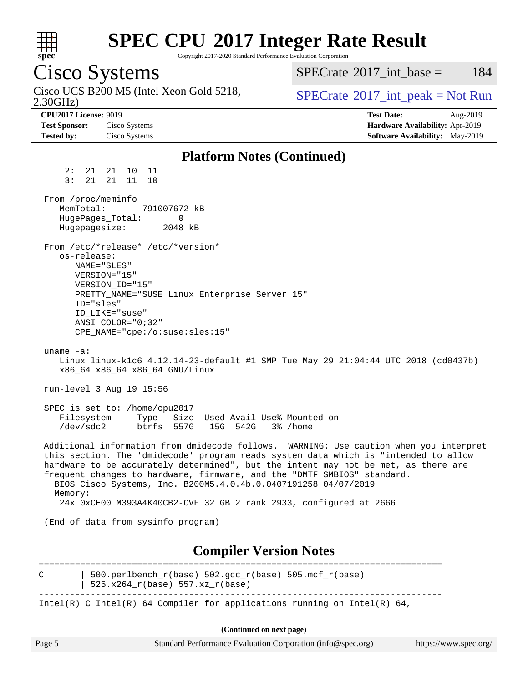

Copyright 2017-2020 Standard Performance Evaluation Corporation

Cisco Systems 2.30GHz) Cisco UCS B200 M5 (Intel Xeon Gold 5218,  $SPECTU$  [SPECrate](http://www.spec.org/auto/cpu2017/Docs/result-fields.html#SPECrate2017intpeak) 2017 int peak = Not Run  $SPECTate^{\circledcirc}2017$  int base = 184 **[CPU2017 License:](http://www.spec.org/auto/cpu2017/Docs/result-fields.html#CPU2017License)** 9019 **[Test Date:](http://www.spec.org/auto/cpu2017/Docs/result-fields.html#TestDate)** Aug-2019 **[Test Sponsor:](http://www.spec.org/auto/cpu2017/Docs/result-fields.html#TestSponsor)** Cisco Systems **[Hardware Availability:](http://www.spec.org/auto/cpu2017/Docs/result-fields.html#HardwareAvailability)** Apr-2019 **[Tested by:](http://www.spec.org/auto/cpu2017/Docs/result-fields.html#Testedby)** Cisco Systems **[Software Availability:](http://www.spec.org/auto/cpu2017/Docs/result-fields.html#SoftwareAvailability)** May-2019 **[Platform Notes \(Continued\)](http://www.spec.org/auto/cpu2017/Docs/result-fields.html#PlatformNotes)** 2: 21 21 10 11 3: 21 21 11 10 From /proc/meminfo<br>MemTotal: 791007672 kB MemTotal: HugePages\_Total: 0 Hugepagesize: 2048 kB From /etc/\*release\* /etc/\*version\* os-release: NAME="SLES" VERSION="15" VERSION\_ID="15" PRETTY\_NAME="SUSE Linux Enterprise Server 15" ID="sles" ID\_LIKE="suse" ANSI\_COLOR="0;32" CPE\_NAME="cpe:/o:suse:sles:15" uname -a: Linux linux-k1c6 4.12.14-23-default #1 SMP Tue May 29 21:04:44 UTC 2018 (cd0437b) x86\_64 x86\_64 x86\_64 GNU/Linux run-level 3 Aug 19 15:56 SPEC is set to: /home/cpu2017 Filesystem Type Size Used Avail Use% Mounted on<br>
/dev/sdc2 btrfs 557G 15G 542G 3% /home /dev/sdc2 btrfs 557G 15G 542G 3% /home Additional information from dmidecode follows. WARNING: Use caution when you interpret this section. The 'dmidecode' program reads system data which is "intended to allow hardware to be accurately determined", but the intent may not be met, as there are frequent changes to hardware, firmware, and the "DMTF SMBIOS" standard. BIOS Cisco Systems, Inc. B200M5.4.0.4b.0.0407191258 04/07/2019 Memory: 24x 0xCE00 M393A4K40CB2-CVF 32 GB 2 rank 2933, configured at 2666 (End of data from sysinfo program) **[Compiler Version Notes](http://www.spec.org/auto/cpu2017/Docs/result-fields.html#CompilerVersionNotes)** ==============================================================================

C | 500.perlbench r(base) 502.gcc r(base) 505.mcf r(base) | 525.x264\_r(base) 557.xz\_r(base) ------------------------------------------------------------------------------

Intel(R) C Intel(R) 64 Compiler for applications running on Intel(R)  $64$ ,

**(Continued on next page)**

| Page 5<br>Standard Performance Evaluation Corporation (info@spec.org)<br>https://www.spec.org/ |  |
|------------------------------------------------------------------------------------------------|--|
|------------------------------------------------------------------------------------------------|--|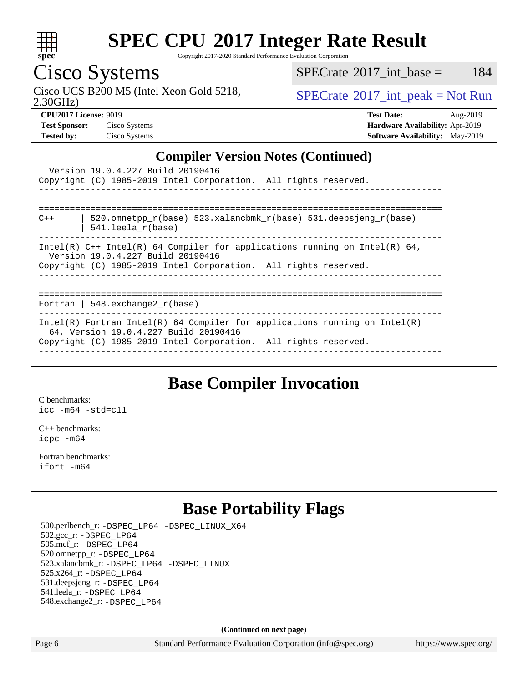

Copyright 2017-2020 Standard Performance Evaluation Corporation

Cisco Systems

Cisco UCS B200 M5 (Intel Xeon Gold 5218,  $SPECTR = SPECrate^{\circ}2017\_int\_peak = Not Run$  $SPECTR = SPECrate^{\circ}2017\_int\_peak = Not Run$  $SPECTR = SPECrate^{\circ}2017\_int\_peak = Not Run$ 

 $SPECTate$ <sup>®</sup>[2017\\_int\\_base =](http://www.spec.org/auto/cpu2017/Docs/result-fields.html#SPECrate2017intbase) 184

2.30GHz)

**[Test Sponsor:](http://www.spec.org/auto/cpu2017/Docs/result-fields.html#TestSponsor)** Cisco Systems **[Hardware Availability:](http://www.spec.org/auto/cpu2017/Docs/result-fields.html#HardwareAvailability)** Apr-2019 **[Tested by:](http://www.spec.org/auto/cpu2017/Docs/result-fields.html#Testedby)** Cisco Systems **[Software Availability:](http://www.spec.org/auto/cpu2017/Docs/result-fields.html#SoftwareAvailability)** May-2019

**[CPU2017 License:](http://www.spec.org/auto/cpu2017/Docs/result-fields.html#CPU2017License)** 9019 **[Test Date:](http://www.spec.org/auto/cpu2017/Docs/result-fields.html#TestDate)** Aug-2019

### **[Compiler Version Notes \(Continued\)](http://www.spec.org/auto/cpu2017/Docs/result-fields.html#CompilerVersionNotes)**

| Version 19.0.4.227 Build 20190416<br>Copyright (C) 1985-2019 Intel Corporation. All rights reserved.<br>_____________________________________                                          |
|----------------------------------------------------------------------------------------------------------------------------------------------------------------------------------------|
|                                                                                                                                                                                        |
| 520.omnetpp_r(base) 523.xalancbmk_r(base) 531.deepsjeng_r(base)<br>$C++$<br>$541.$ leela r(base)                                                                                       |
| Intel(R) $C++$ Intel(R) 64 Compiler for applications running on Intel(R) 64,<br>Version 19.0.4.227 Build 20190416<br>Copyright (C) 1985-2019 Intel Corporation. All rights reserved.   |
|                                                                                                                                                                                        |
| Fortran   548.exchange2 $r(base)$                                                                                                                                                      |
| Intel(R) Fortran Intel(R) 64 Compiler for applications running on Intel(R)<br>64, Version 19.0.4.227 Build 20190416<br>Copyright (C) 1985-2019 Intel Corporation. All rights reserved. |

### **[Base Compiler Invocation](http://www.spec.org/auto/cpu2017/Docs/result-fields.html#BaseCompilerInvocation)**

[C benchmarks](http://www.spec.org/auto/cpu2017/Docs/result-fields.html#Cbenchmarks): [icc -m64 -std=c11](http://www.spec.org/cpu2017/results/res2019q3/cpu2017-20190820-17217.flags.html#user_CCbase_intel_icc_64bit_c11_33ee0cdaae7deeeab2a9725423ba97205ce30f63b9926c2519791662299b76a0318f32ddfffdc46587804de3178b4f9328c46fa7c2b0cd779d7a61945c91cd35)

[C++ benchmarks:](http://www.spec.org/auto/cpu2017/Docs/result-fields.html#CXXbenchmarks) [icpc -m64](http://www.spec.org/cpu2017/results/res2019q3/cpu2017-20190820-17217.flags.html#user_CXXbase_intel_icpc_64bit_4ecb2543ae3f1412ef961e0650ca070fec7b7afdcd6ed48761b84423119d1bf6bdf5cad15b44d48e7256388bc77273b966e5eb805aefd121eb22e9299b2ec9d9)

[Fortran benchmarks](http://www.spec.org/auto/cpu2017/Docs/result-fields.html#Fortranbenchmarks): [ifort -m64](http://www.spec.org/cpu2017/results/res2019q3/cpu2017-20190820-17217.flags.html#user_FCbase_intel_ifort_64bit_24f2bb282fbaeffd6157abe4f878425411749daecae9a33200eee2bee2fe76f3b89351d69a8130dd5949958ce389cf37ff59a95e7a40d588e8d3a57e0c3fd751)

### **[Base Portability Flags](http://www.spec.org/auto/cpu2017/Docs/result-fields.html#BasePortabilityFlags)**

 500.perlbench\_r: [-DSPEC\\_LP64](http://www.spec.org/cpu2017/results/res2019q3/cpu2017-20190820-17217.flags.html#b500.perlbench_r_basePORTABILITY_DSPEC_LP64) [-DSPEC\\_LINUX\\_X64](http://www.spec.org/cpu2017/results/res2019q3/cpu2017-20190820-17217.flags.html#b500.perlbench_r_baseCPORTABILITY_DSPEC_LINUX_X64) 502.gcc\_r: [-DSPEC\\_LP64](http://www.spec.org/cpu2017/results/res2019q3/cpu2017-20190820-17217.flags.html#suite_basePORTABILITY502_gcc_r_DSPEC_LP64) 505.mcf\_r: [-DSPEC\\_LP64](http://www.spec.org/cpu2017/results/res2019q3/cpu2017-20190820-17217.flags.html#suite_basePORTABILITY505_mcf_r_DSPEC_LP64) 520.omnetpp\_r: [-DSPEC\\_LP64](http://www.spec.org/cpu2017/results/res2019q3/cpu2017-20190820-17217.flags.html#suite_basePORTABILITY520_omnetpp_r_DSPEC_LP64) 523.xalancbmk\_r: [-DSPEC\\_LP64](http://www.spec.org/cpu2017/results/res2019q3/cpu2017-20190820-17217.flags.html#suite_basePORTABILITY523_xalancbmk_r_DSPEC_LP64) [-DSPEC\\_LINUX](http://www.spec.org/cpu2017/results/res2019q3/cpu2017-20190820-17217.flags.html#b523.xalancbmk_r_baseCXXPORTABILITY_DSPEC_LINUX) 525.x264\_r: [-DSPEC\\_LP64](http://www.spec.org/cpu2017/results/res2019q3/cpu2017-20190820-17217.flags.html#suite_basePORTABILITY525_x264_r_DSPEC_LP64) 531.deepsjeng\_r: [-DSPEC\\_LP64](http://www.spec.org/cpu2017/results/res2019q3/cpu2017-20190820-17217.flags.html#suite_basePORTABILITY531_deepsjeng_r_DSPEC_LP64) 541.leela\_r: [-DSPEC\\_LP64](http://www.spec.org/cpu2017/results/res2019q3/cpu2017-20190820-17217.flags.html#suite_basePORTABILITY541_leela_r_DSPEC_LP64) 548.exchange2\_r: [-DSPEC\\_LP64](http://www.spec.org/cpu2017/results/res2019q3/cpu2017-20190820-17217.flags.html#suite_basePORTABILITY548_exchange2_r_DSPEC_LP64)

**(Continued on next page)**

Page 6 Standard Performance Evaluation Corporation [\(info@spec.org\)](mailto:info@spec.org) <https://www.spec.org/>